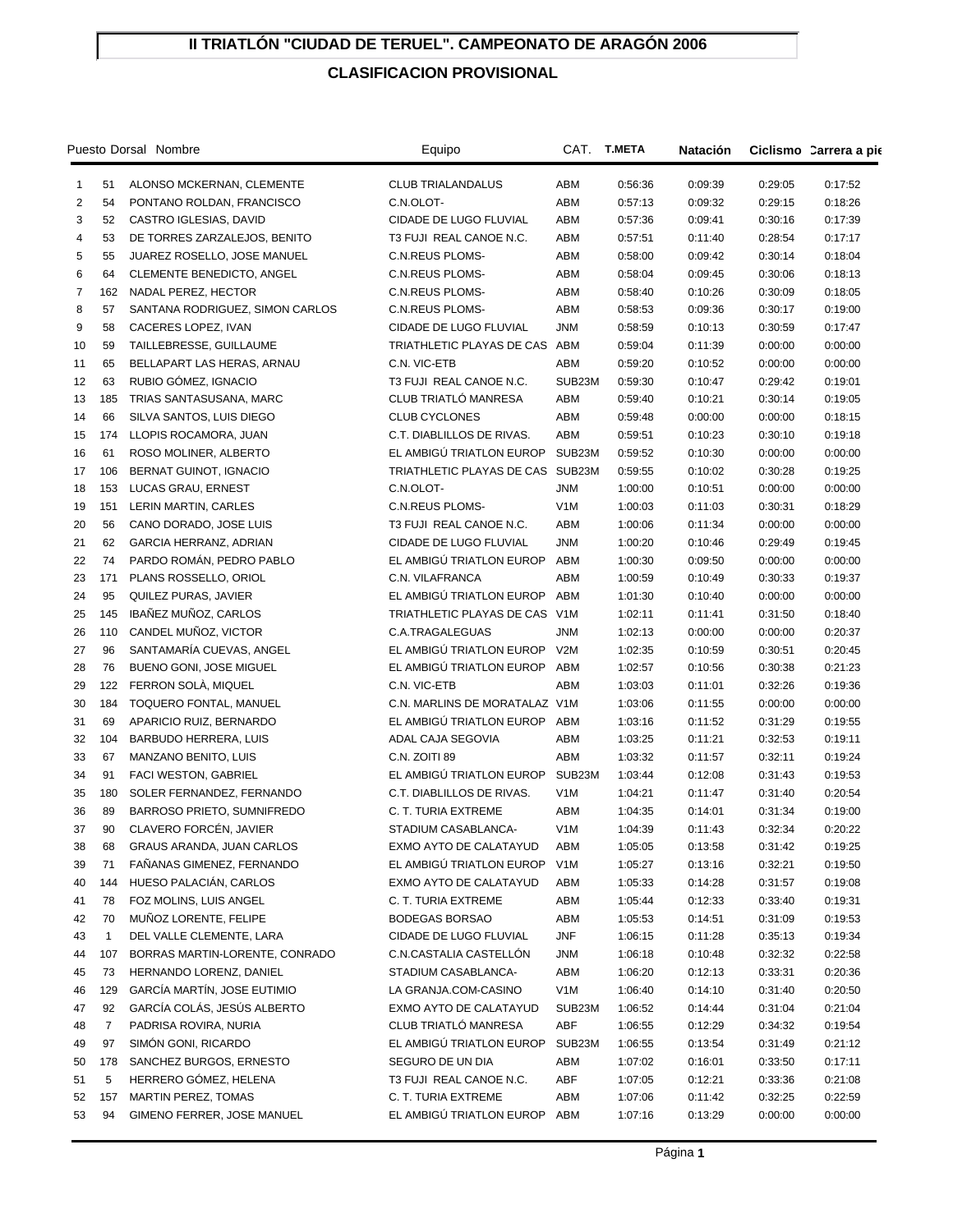## **II TRIATLÓN "CIUDAD DE TERUEL". CAMPEONATO DE ARAGÓN 2006**

## **CLASIFICACION PROVISIONAL**

| Puesto Dorsal Nombre |              |                                  | Equipo                        | CAT.             | <b>T.META</b> | Natación |         | Ciclismo Carrera a pie |
|----------------------|--------------|----------------------------------|-------------------------------|------------------|---------------|----------|---------|------------------------|
| 1                    | 51           | ALONSO MCKERNAN, CLEMENTE        | <b>CLUB TRIALANDALUS</b>      | ABM              | 0:56:36       | 0:09:39  | 0:29:05 | 0:17:52                |
| $\overline{2}$       | 54           | PONTANO ROLDAN, FRANCISCO        | C.N.OLOT-                     | ABM              | 0:57:13       | 0:09:32  | 0:29:15 | 0:18:26                |
| 3                    | 52           | CASTRO IGLESIAS, DAVID           | CIDADE DE LUGO FLUVIAL        | ABM              | 0:57:36       | 0:09:41  | 0:30:16 | 0:17:39                |
| $\overline{4}$       | 53           | DE TORRES ZARZALEJOS, BENITO     | T3 FUJI REAL CANOE N.C.       | ABM              | 0:57:51       | 0:11:40  | 0:28:54 | 0:17:17                |
| 5                    | 55           | JUAREZ ROSELLO, JOSE MANUEL      | <b>C.N.REUS PLOMS-</b>        | ABM              | 0:58:00       | 0:09:42  | 0:30:14 | 0:18:04                |
| 6                    | 64           | <b>CLEMENTE BENEDICTO, ANGEL</b> | <b>C.N.REUS PLOMS-</b>        | ABM              | 0:58:04       | 0:09:45  | 0:30:06 | 0:18:13                |
| 7                    | 162          | NADAL PEREZ, HECTOR              | <b>C.N.REUS PLOMS-</b>        | ABM              | 0:58:40       | 0:10:26  | 0:30:09 | 0:18:05                |
| 8                    | 57           | SANTANA RODRIGUEZ, SIMON CARLOS  | <b>C.N.REUS PLOMS-</b>        | ABM              | 0:58:53       | 0:09:36  | 0:30:17 | 0:19:00                |
| 9                    | 58           | CACERES LOPEZ, IVAN              | CIDADE DE LUGO FLUVIAL        | <b>JNM</b>       | 0:58:59       | 0:10:13  | 0:30:59 | 0:17:47                |
| 10                   | 59           | TAILLEBRESSE, GUILLAUME          | TRIATHLETIC PLAYAS DE CAS     | ABM              | 0:59:04       | 0:11:39  | 0:00:00 | 0:00:00                |
| 11                   | 65           | BELLAPART LAS HERAS, ARNAU       | C.N. VIC-ETB                  | ABM              | 0:59:20       | 0:10:52  | 0:00:00 | 0:00:00                |
| 12                   | 63           | RUBIO GÓMEZ, IGNACIO             | T3 FUJI REAL CANOE N.C.       | SUB23M           | 0:59:30       | 0:10:47  | 0:29:42 | 0:19:01                |
| 13                   | 185          | TRIAS SANTASUSANA, MARC          | CLUB TRIATLÓ MANRESA          | ABM              | 0:59:40       | 0:10:21  | 0:30:14 | 0:19:05                |
| 14                   | 66           | SILVA SANTOS, LUIS DIEGO         | <b>CLUB CYCLONES</b>          | ABM              | 0:59:48       | 0:00:00  | 0:00:00 | 0:18:15                |
| 15                   | 174          | LLOPIS ROCAMORA, JUAN            | C.T. DIABLILLOS DE RIVAS.     | ABM              | 0:59:51       | 0:10:23  | 0:30:10 | 0:19:18                |
| 16                   | 61           | ROSO MOLINER, ALBERTO            | EL AMBIGÚ TRIATLON EUROP      | SUB23M           | 0:59:52       | 0:10:30  | 0:00:00 | 0:00:00                |
| 17                   | 106          | <b>BERNAT GUINOT, IGNACIO</b>    | TRIATHLETIC PLAYAS DE CAS     | SUB23M           | 0:59:55       | 0:10:02  | 0:30:28 | 0:19:25                |
| 18                   | 153          | LUCAS GRAU, ERNEST               | C.N.OLOT-                     | <b>JNM</b>       | 1:00:00       | 0:10:51  | 0:00:00 | 0:00:00                |
| 19                   | 151          | LERIN MARTIN, CARLES             | <b>C.N.REUS PLOMS-</b>        | V <sub>1</sub> M | 1:00:03       | 0:11:03  | 0:30:31 | 0:18:29                |
| 20                   | 56           | CANO DORADO, JOSE LUIS           | T3 FUJI REAL CANOE N.C.       | ABM              | 1:00:06       | 0:11:34  | 0:00:00 | 0:00:00                |
| 21                   | 62           | GARCIA HERRANZ, ADRIAN           | CIDADE DE LUGO FLUVIAL        | <b>JNM</b>       | 1:00:20       | 0:10:46  | 0:29:49 | 0:19:45                |
| 22                   | 74           | PARDO ROMÁN, PEDRO PABLO         | EL AMBIGÚ TRIATLON EUROP      | ABM              | 1:00:30       | 0:09:50  | 0:00:00 | 0:00:00                |
| 23                   | 171          | PLANS ROSSELLO, ORIOL            | C.N. VILAFRANCA               | ABM              | 1:00:59       | 0:10:49  | 0:30:33 | 0:19:37                |
| 24                   | 95           | QUILEZ PURAS, JAVIER             | EL AMBIGÚ TRIATLON EUROP      | ABM              | 1:01:30       | 0:10:40  | 0:00:00 | 0:00:00                |
| 25                   | 145          | IBAÑEZ MUÑOZ, CARLOS             | TRIATHLETIC PLAYAS DE CAS     | V1M              | 1:02:11       | 0:11:41  | 0:31:50 | 0:18:40                |
| 26                   | 110          | CANDEL MUÑOZ, VICTOR             | C.A.TRAGALEGUAS               | JNM              | 1:02:13       | 0:00:00  | 0:00:00 | 0:20:37                |
| 27                   | 96           | SANTAMARÍA CUEVAS, ANGEL         | EL AMBIGÚ TRIATLON EUROP      | V2M              | 1:02:35       | 0:10:59  | 0:30:51 | 0:20:45                |
| 28                   | 76           | BUENO GONI, JOSE MIGUEL          | EL AMBIGÚ TRIATLON EUROP      | ABM              | 1:02:57       | 0:10:56  | 0:30:38 | 0:21:23                |
| 29                   | 122          | FERRON SOLA, MIQUEL              | C.N. VIC-ETB                  | ABM              | 1:03:03       | 0:11:01  | 0:32:26 | 0:19:36                |
| 30                   | 184          | TOQUERO FONTAL, MANUEL           | C.N. MARLINS DE MORATALAZ V1M |                  | 1:03:06       | 0:11:55  | 0:00:00 | 0:00:00                |
| 31                   | 69           | APARICIO RUIZ, BERNARDO          | EL AMBIGÚ TRIATLON EUROP      | ABM              | 1:03:16       | 0:11:52  | 0:31:29 | 0:19:55                |
| 32                   | 104          | BARBUDO HERRERA, LUIS            | ADAL CAJA SEGOVIA             | ABM              | 1:03:25       | 0:11:21  | 0:32:53 | 0:19:11                |
| 33                   | 67           | MANZANO BENITO, LUIS             | C.N. ZOITI 89                 | ABM              | 1:03:32       | 0:11:57  | 0:32:11 | 0:19:24                |
| 34                   | 91           | FACI WESTON, GABRIEL             | EL AMBIGÚ TRIATLON EUROP      | SUB23M           | 1:03:44       | 0:12:08  | 0:31:43 | 0:19:53                |
| 35                   | 180          | SOLER FERNANDEZ, FERNANDO        | C.T. DIABLILLOS DE RIVAS.     | V <sub>1</sub> M | 1:04:21       | 0:11:47  | 0:31:40 | 0:20:54                |
| 36                   | 89           | BARROSO PRIETO, SUMNIFREDO       | C. T. TURIA EXTREME           | ABM              | 1:04:35       | 0:14:01  | 0:31:34 | 0:19:00                |
| 37                   | 90           | CLAVERO FORCÉN, JAVIER           | STADIUM CASABLANCA-           | V1M              | 1:04:39       | 0:11:43  | 0:32:34 | 0:20:22                |
| 38                   | 68           | GRAUS ARANDA, JUAN CARLOS        | EXMO AYTO DE CALATAYUD        | ABM              | 1:05:05       | 0:13:58  | 0:31:42 | 0:19:25                |
| 39                   | 71           | FAÑANAS GIMENEZ, FERNANDO        | EL AMBIGÚ TRIATLON EUROP      | V <sub>1</sub> M | 1:05:27       | 0:13:16  | 0:32:21 | 0:19:50                |
| 40                   | 144          | HUESO PALACIÁN, CARLOS           | EXMO AYTO DE CALATAYUD        | ABM              | 1:05:33       | 0:14:28  | 0:31:57 | 0:19:08                |
| 41                   | 78           | FOZ MOLINS, LUIS ANGEL           | C. T. TURIA EXTREME           | ABM              | 1:05:44       | 0:12:33  | 0:33:40 | 0:19:31                |
| 42                   | 70           | MUÑOZ LORENTE, FELIPE            | <b>BODEGAS BORSAO</b>         | ABM              | 1:05:53       | 0:14:51  | 0:31:09 | 0:19:53                |
| 43                   | $\mathbf{1}$ | DEL VALLE CLEMENTE, LARA         | CIDADE DE LUGO FLUVIAL        | JNF              | 1:06:15       | 0:11:28  | 0:35:13 | 0:19:34                |
| 44                   | 107          | BORRAS MARTIN-LORENTE, CONRADO   | C.N.CASTALIA CASTELLON        | <b>JNM</b>       | 1:06:18       | 0:10:48  | 0:32:32 | 0:22:58                |
| 45                   | 73           | HERNANDO LORENZ, DANIEL          | STADIUM CASABLANCA-           | ABM              | 1:06:20       | 0:12:13  | 0:33:31 | 0:20:36                |
| 46                   | 129          | GARCÍA MARTÍN, JOSE EUTIMIO      | LA GRANJA.COM-CASINO          | V <sub>1</sub> M | 1:06:40       | 0:14:10  | 0:31:40 | 0:20:50                |
| 47                   | 92           | GARCÍA COLÁS, JESÚS ALBERTO      | EXMO AYTO DE CALATAYUD        | SUB23M           | 1:06:52       | 0:14:44  | 0:31:04 | 0:21:04                |
| 48                   | 7            | PADRISA ROVIRA, NURIA            | CLUB TRIATLÓ MANRESA          | ABF              | 1:06:55       | 0:12:29  | 0:34:32 | 0:19:54                |
| 49                   | 97           | SIMÓN GONI, RICARDO              | EL AMBIGÚ TRIATLON EUROP      | SUB23M           | 1:06:55       | 0:13:54  | 0:31:49 | 0:21:12                |
| 50                   | 178          | SANCHEZ BURGOS, ERNESTO          | SEGURO DE UN DIA              | ABM              | 1:07:02       | 0:16:01  | 0:33:50 | 0:17:11                |
| 51                   | 5            | HERRERO GÓMEZ, HELENA            | T3 FUJI REAL CANOE N.C.       | ABF              | 1:07:05       | 0:12:21  | 0:33:36 | 0:21:08                |
| 52                   | 157          | MARTIN PEREZ, TOMAS              | C. T. TURIA EXTREME           | ABM              | 1:07:06       | 0:11:42  | 0:32:25 | 0:22:59                |
| 53                   | 94           | GIMENO FERRER, JOSE MANUEL       | EL AMBIGÚ TRIATLON EUROP      | ABM              | 1:07:16       | 0:13:29  | 0:00:00 | 0:00:00                |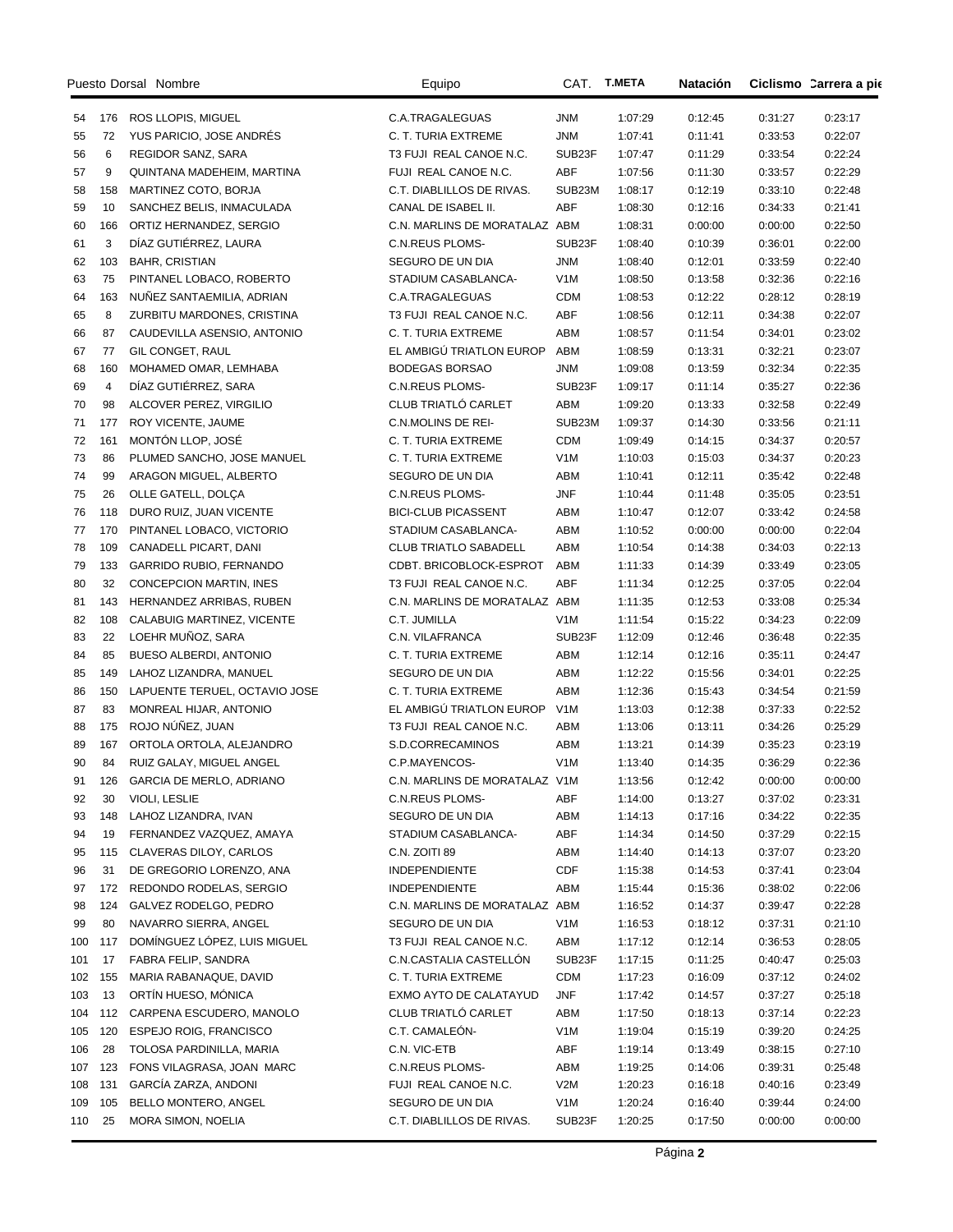| Puesto Dorsal Nombre |                |                                | Equipo                        | CAT.             | <b>T.META</b> | Natación |         | Ciclismo Carrera a pie |
|----------------------|----------------|--------------------------------|-------------------------------|------------------|---------------|----------|---------|------------------------|
| 54                   |                | 176 ROS LLOPIS, MIGUEL         | C.A.TRAGALEGUAS               | JNM              | 1:07:29       | 0:12:45  | 0:31:27 | 0:23:17                |
| 55                   | 72             | YUS PARICIO, JOSE ANDRÉS       | C. T. TURIA EXTREME           | <b>JNM</b>       | 1:07:41       | 0:11:41  | 0:33:53 | 0:22:07                |
| 56                   | 6              | REGIDOR SANZ, SARA             | T3 FUJI REAL CANOE N.C.       | SUB23F           | 1:07:47       | 0:11:29  | 0:33:54 | 0:22:24                |
| 57                   | 9              | QUINTANA MADEHEIM, MARTINA     | FUJI REAL CANOE N.C.          | ABF              | 1:07:56       | 0:11:30  | 0:33:57 | 0:22:29                |
| 58                   | 158            | MARTINEZ COTO, BORJA           | C.T. DIABLILLOS DE RIVAS.     | SUB23M           | 1:08:17       | 0:12:19  | 0:33:10 | 0:22:48                |
| 59                   | 10             | SANCHEZ BELIS, INMACULADA      | CANAL DE ISABEL II.           | ABF              | 1:08:30       | 0:12:16  | 0:34:33 | 0:21:41                |
| 60                   | 166            | ORTIZ HERNANDEZ, SERGIO        | C.N. MARLINS DE MORATALAZ ABM |                  | 1:08:31       | 0:00:00  | 0:00:00 | 0:22:50                |
| 61                   | 3              | DÍAZ GUTIÉRREZ, LAURA          | <b>C.N.REUS PLOMS-</b>        | SUB23F           | 1:08:40       | 0:10:39  | 0:36:01 | 0:22:00                |
| 62                   | 103            | <b>BAHR, CRISTIAN</b>          | SEGURO DE UN DIA              | <b>JNM</b>       | 1:08:40       | 0:12:01  | 0:33:59 | 0:22:40                |
| 63                   | 75             | PINTANEL LOBACO, ROBERTO       | STADIUM CASABLANCA-           | V <sub>1</sub> M | 1:08:50       | 0:13:58  | 0:32:36 | 0:22:16                |
| 64                   | 163            | NUNEZ SANTAEMILIA, ADRIAN      | C.A.TRAGALEGUAS               | <b>CDM</b>       | 1:08:53       | 0:12:22  | 0:28:12 | 0:28:19                |
| 65                   | 8              | ZURBITU MARDONES, CRISTINA     | T3 FUJI REAL CANOE N.C.       | ABF              | 1:08:56       | 0:12:11  | 0:34:38 | 0:22:07                |
| 66                   | 87             | CAUDEVILLA ASENSIO, ANTONIO    | C. T. TURIA EXTREME           | ABM              | 1:08:57       | 0:11:54  | 0:34:01 | 0:23:02                |
| 67                   | 77             | GIL CONGET, RAUL               | EL AMBIGÚ TRIATLON EUROP      | ABM              | 1:08:59       | 0:13:31  | 0:32:21 | 0:23:07                |
| 68                   | 160            | MOHAMED OMAR, LEMHABA          | <b>BODEGAS BORSAO</b>         | <b>JNM</b>       | 1:09:08       | 0:13:59  | 0:32:34 | 0:22:35                |
| 69                   | $\overline{4}$ | DÍAZ GUTIÉRREZ, SARA           | C.N.REUS PLOMS-               | SUB23F           | 1:09:17       | 0:11:14  | 0:35:27 | 0:22:36                |
| 70                   | 98             | ALCOVER PEREZ, VIRGILIO        | <b>CLUB TRIATLÓ CARLET</b>    | ABM              | 1:09:20       | 0:13:33  | 0:32:58 | 0:22:49                |
| 71                   | 177            | ROY VICENTE, JAUME             | C.N.MOLINS DE REI-            | SUB23M           | 1:09:37       | 0:14:30  | 0:33:56 | 0:21:11                |
| 72                   | 161            | MONTÓN LLOP, JOSÉ              | C. T. TURIA EXTREME           | <b>CDM</b>       | 1:09:49       | 0:14:15  | 0:34:37 | 0:20:57                |
| 73                   | 86             | PLUMED SANCHO, JOSE MANUEL     | C. T. TURIA EXTREME           | V <sub>1</sub> M | 1:10:03       | 0:15:03  | 0:34:37 | 0:20:23                |
| 74                   | 99             | ARAGON MIGUEL, ALBERTO         | SEGURO DE UN DIA              | ABM              | 1:10:41       | 0:12:11  | 0:35:42 | 0:22:48                |
| 75                   | 26             | OLLE GATELL, DOLCA             | <b>C.N.REUS PLOMS-</b>        | <b>JNF</b>       | 1:10:44       | 0:11:48  | 0:35:05 | 0:23:51                |
| 76                   | 118            | DURO RUIZ, JUAN VICENTE        | <b>BICI-CLUB PICASSENT</b>    | ABM              | 1:10:47       | 0:12:07  | 0:33:42 | 0:24:58                |
| 77                   | 170            | PINTANEL LOBACO, VICTORIO      | STADIUM CASABLANCA-           | ABM              | 1:10:52       | 0:00:00  | 0:00:00 | 0:22:04                |
| 78                   | 109            | CANADELL PICART, DANI          | <b>CLUB TRIATLO SABADELL</b>  | ABM              | 1:10:54       | 0:14:38  | 0:34:03 | 0:22:13                |
| 79                   | 133            | <b>GARRIDO RUBIO, FERNANDO</b> | CDBT. BRICOBLOCK-ESPROT       | ABM              | 1:11:33       | 0:14:39  | 0:33:49 | 0:23:05                |
| 80                   | 32             | CONCEPCION MARTIN, INES        | T3 FUJI REAL CANOE N.C.       | ABF              | 1:11:34       | 0:12:25  | 0:37:05 | 0:22:04                |
| 81                   | 143            | HERNANDEZ ARRIBAS, RUBEN       | C.N. MARLINS DE MORATALAZ ABM |                  | 1:11:35       | 0:12:53  | 0:33:08 | 0:25:34                |
| 82                   | 108            | CALABUIG MARTINEZ, VICENTE     | C.T. JUMILLA                  | V1M              | 1:11:54       | 0:15:22  | 0:34:23 | 0:22:09                |
| 83                   | 22             | LOEHR MUÑOZ, SARA              | C.N. VILAFRANCA               | SUB23F           | 1:12:09       | 0:12:46  | 0:36:48 | 0:22:35                |
| 84                   | 85             | <b>BUESO ALBERDI, ANTONIO</b>  | C. T. TURIA EXTREME           | ABM              | 1:12:14       | 0:12:16  | 0:35:11 | 0:24:47                |
| 85                   | 149            | LAHOZ LIZANDRA, MANUEL         | SEGURO DE UN DIA              | ABM              | 1:12:22       | 0:15:56  | 0:34:01 | 0:22:25                |
| 86                   | 150            | LAPUENTE TERUEL, OCTAVIO JOSE  | C. T. TURIA EXTREME           | ABM              | 1:12:36       | 0:15:43  | 0:34:54 | 0:21:59                |
| 87                   | 83             | MONREAL HIJAR, ANTONIO         | EL AMBIGÚ TRIATLON EUROP      | V <sub>1</sub> M | 1:13:03       | 0:12:38  | 0:37:33 | 0:22:52                |
| 88                   | 175            | ROJO NÚÑEZ, JUAN               | T3 FUJI REAL CANOE N.C.       | ABM              | 1:13:06       | 0:13:11  | 0:34:26 | 0:25:29                |
| 89                   | 167            | ORTOLA ORTOLA, ALEJANDRO       | S.D.CORRECAMINOS              | ABM              | 1:13:21       | 0:14:39  | 0:35:23 | 0:23:19                |
| 90                   | 84             | RUIZ GALAY, MIGUEL ANGEL       | C.P.MAYENCOS-                 | V <sub>1</sub> M | 1:13:40       | 0:14:35  | 0:36:29 | 0:22:36                |
| 91                   | 126            | GARCIA DE MERLO, ADRIANO       | C.N. MARLINS DE MORATALAZ V1M |                  | 1:13:56       | 0:12:42  | 0:00:00 | 0:00:00                |
| 92                   | 30             | VIOLI, LESLIE                  | <b>C.N.REUS PLOMS-</b>        | ABF              | 1:14:00       | 0:13:27  | 0:37:02 | 0:23:31                |
| 93                   | 148            | LAHOZ LIZANDRA, IVAN           | SEGURO DE UN DIA              | ABM              | 1:14:13       | 0:17:16  | 0:34:22 | 0:22:35                |
| 94                   | 19             | FERNANDEZ VAZQUEZ, AMAYA       | STADIUM CASABLANCA-           | ABF              | 1:14:34       | 0:14:50  | 0:37:29 | 0:22:15                |
| 95                   | 115            | CLAVERAS DILOY, CARLOS         | C.N. ZOITI 89                 | ABM              | 1:14:40       | 0:14:13  | 0:37:07 | 0:23:20                |
| 96                   | 31             | DE GREGORIO LORENZO, ANA       | INDEPENDIENTE                 | CDF              | 1:15:38       | 0:14:53  | 0:37:41 | 0:23:04                |
| 97                   | 172            | REDONDO RODELAS, SERGIO        | <b>INDEPENDIENTE</b>          | ABM              | 1:15:44       | 0:15:36  | 0:38:02 | 0:22:06                |
| 98                   | 124            | GALVEZ RODELGO, PEDRO          | C.N. MARLINS DE MORATALAZ ABM |                  | 1:16:52       | 0:14:37  | 0:39:47 | 0:22:28                |
| 99                   | 80             | NAVARRO SIERRA, ANGEL          | SEGURO DE UN DIA              | V1M              | 1:16:53       | 0:18:12  | 0:37:31 | 0:21:10                |
| 100                  | 117            | DOMÍNGUEZ LÓPEZ, LUIS MIGUEL   | T3 FUJI REAL CANOE N.C.       | ABM              | 1:17:12       | 0:12:14  | 0:36:53 | 0:28:05                |
| 101                  | 17             | FABRA FELIP, SANDRA            | C.N.CASTALIA CASTELLÓN        | SUB23F           | 1:17:15       | 0:11:25  | 0:40:47 | 0:25:03                |
| 102                  | 155            | MARIA RABANAQUE, DAVID         | C. T. TURIA EXTREME           | CDM              | 1:17:23       | 0:16:09  | 0:37:12 | 0:24:02                |
| 103                  | 13             | ORTÍN HUESO, MÓNICA            | EXMO AYTO DE CALATAYUD        | JNF              | 1:17:42       | 0:14:57  | 0:37:27 | 0:25:18                |
| 104                  | 112            | CARPENA ESCUDERO, MANOLO       | CLUB TRIATLÓ CARLET           | ABM              | 1:17:50       | 0:18:13  | 0:37:14 | 0:22:23                |
| 105                  | 120            | ESPEJO ROIG, FRANCISCO         | C.T. CAMALEÓN-                | V1M              | 1:19:04       | 0:15:19  | 0:39:20 | 0:24:25                |
| 106                  | 28             | TOLOSA PARDINILLA, MARIA       | C.N. VIC-ETB                  | ABF              | 1:19:14       | 0:13:49  | 0:38:15 | 0:27:10                |
| 107                  | 123            | FONS VILAGRASA, JOAN MARC      | C.N.REUS PLOMS-               | ABM              | 1:19:25       | 0:14:06  | 0:39:31 | 0:25:48                |
| 108                  | 131            | GARCÍA ZARZA, ANDONI           | FUJI REAL CANOE N.C.          | V2M              | 1:20:23       | 0:16:18  | 0:40:16 | 0:23:49                |
| 109                  | 105            | BELLO MONTERO, ANGEL           | SEGURO DE UN DIA              | V1M              | 1:20:24       | 0:16:40  | 0:39:44 | 0:24:00                |
| 110                  | 25             | MORA SIMON, NOELIA             | C.T. DIABLILLOS DE RIVAS.     | SUB23F           | 1:20:25       | 0:17:50  | 0:00:00 | 0:00:00                |